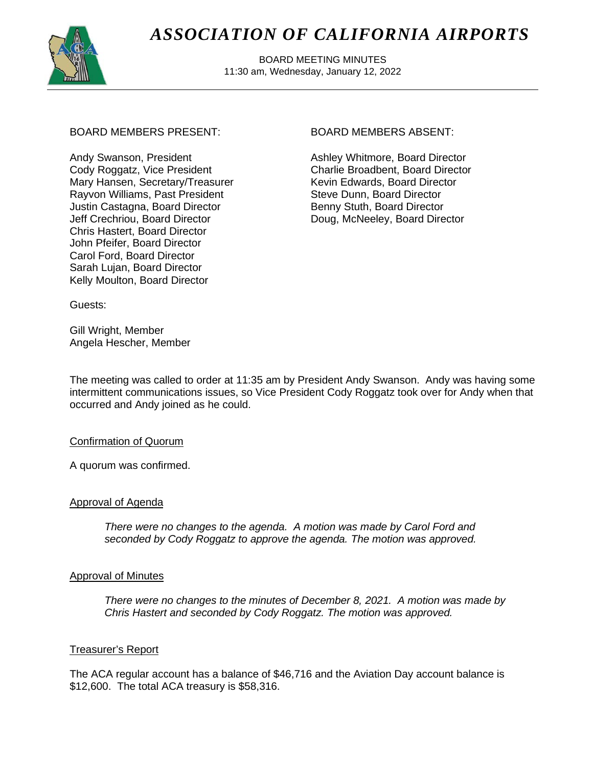

# *ASSOCIATION OF CALIFORNIA AIRPORTS*

 BOARD MEETING MINUTES 11:30 am, Wednesday, January 12, 2022

# BOARD MEMBERS PRESENT: BOARD MEMBERS ABSENT:

Andy Swanson, President Cody Roggatz, Vice President Mary Hansen, Secretary/Treasurer Rayvon Williams, Past President Justin Castagna, Board Director Jeff Crechriou, Board Director Chris Hastert, Board Director John Pfeifer, Board Director Carol Ford, Board Director Sarah Lujan, Board Director Kelly Moulton, Board Director

Ashley Whitmore, Board Director Charlie Broadbent, Board Director Kevin Edwards, Board Director Steve Dunn, Board Director Benny Stuth, Board Director Doug, McNeeley, Board Director

Guests:

Gill Wright, Member Angela Hescher, Member

The meeting was called to order at 11:35 am by President Andy Swanson. Andy was having some intermittent communications issues, so Vice President Cody Roggatz took over for Andy when that occurred and Andy joined as he could.

# Confirmation of Quorum

A quorum was confirmed.

# Approval of Agenda

*There were no changes to the agenda. A motion was made by Carol Ford and seconded by Cody Roggatz to approve the agenda. The motion was approved.*

# Approval of Minutes

*There were no changes to the minutes of December 8, 2021. A motion was made by Chris Hastert and seconded by Cody Roggatz. The motion was approved.*

# Treasurer's Report

The ACA regular account has a balance of \$46,716 and the Aviation Day account balance is \$12,600. The total ACA treasury is \$58,316.